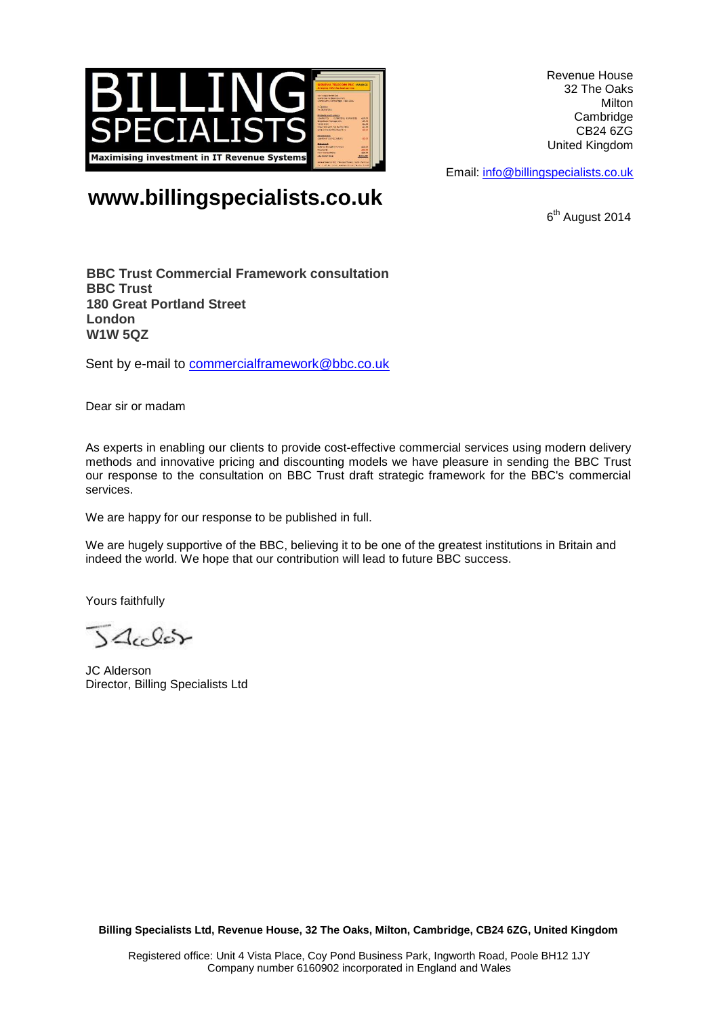

Revenue House 32 The Oaks Milton **Cambridge** CB24 6ZG United Kingdom

Email: [info@billingspecialists.co.uk](mailto:info@billingspecialists.co.uk)

6<sup>th</sup> August 2014

# **www.billingspecialists.co.uk**

**BBC Trust Commercial Framework consultation BBC Trust 180 Great Portland Street London W1W 5QZ**

Sent by e-mail to [commercialframework@bbc.co.uk](mailto:commercialframework@bbc.co.uk)

Dear sir or madam

As experts in enabling our clients to provide cost-effective commercial services using modern delivery methods and innovative pricing and discounting models we have pleasure in sending the BBC Trust our response to the consultation on BBC Trust draft strategic framework for the BBC's commercial services.

We are happy for our response to be published in full.

We are hugely supportive of the BBC, believing it to be one of the greatest institutions in Britain and indeed the world. We hope that our contribution will lead to future BBC success.

Yours faithfully

 $34$ celer

JC Alderson Director, Billing Specialists Ltd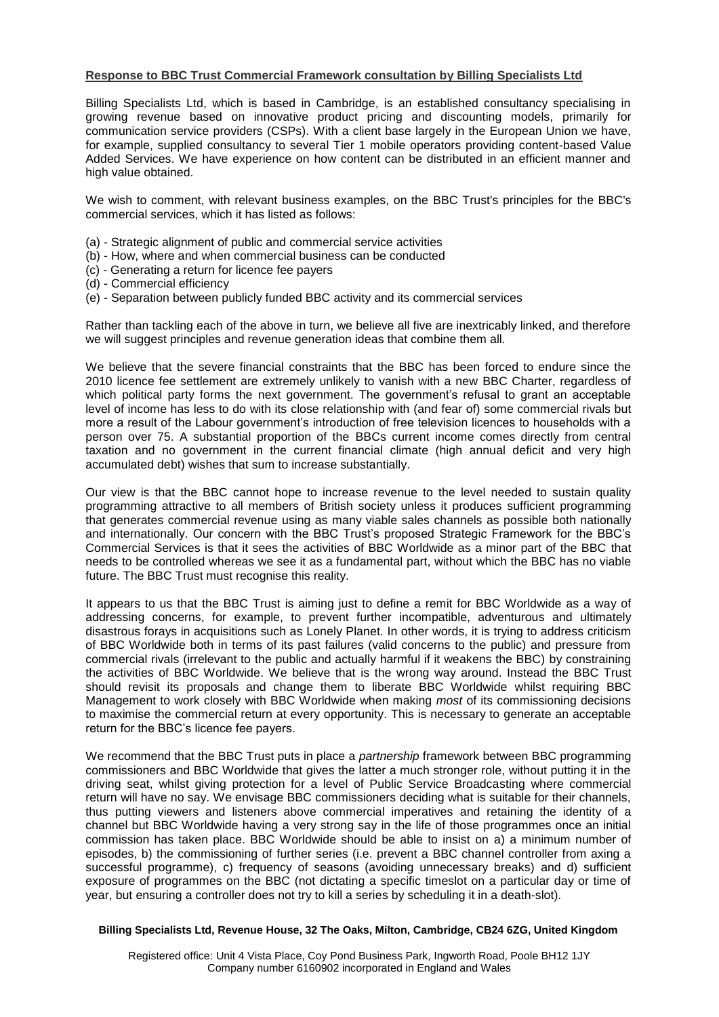## **Response to BBC Trust Commercial Framework consultation by Billing Specialists Ltd**

Billing Specialists Ltd, which is based in Cambridge, is an established consultancy specialising in growing revenue based on innovative product pricing and discounting models, primarily for communication service providers (CSPs). With a client base largely in the European Union we have, for example, supplied consultancy to several Tier 1 mobile operators providing content-based Value Added Services. We have experience on how content can be distributed in an efficient manner and high value obtained.

We wish to comment, with relevant business examples, on the BBC Trust's principles for the BBC's commercial services, which it has listed as follows:

- (a) Strategic alignment of public and commercial service activities
- (b) How, where and when commercial business can be conducted
- (c) Generating a return for licence fee payers
- (d) Commercial efficiency
- (e) Separation between publicly funded BBC activity and its commercial services

Rather than tackling each of the above in turn, we believe all five are inextricably linked, and therefore we will suggest principles and revenue generation ideas that combine them all.

We believe that the severe financial constraints that the BBC has been forced to endure since the 2010 licence fee settlement are extremely unlikely to vanish with a new BBC Charter, regardless of which political party forms the next government. The government's refusal to grant an acceptable level of income has less to do with its close relationship with (and fear of) some commercial rivals but more a result of the Labour government's introduction of free television licences to households with a person over 75. A substantial proportion of the BBCs current income comes directly from central taxation and no government in the current financial climate (high annual deficit and very high accumulated debt) wishes that sum to increase substantially.

Our view is that the BBC cannot hope to increase revenue to the level needed to sustain quality programming attractive to all members of British society unless it produces sufficient programming that generates commercial revenue using as many viable sales channels as possible both nationally and internationally. Our concern with the BBC Trust's proposed Strategic Framework for the BBC's Commercial Services is that it sees the activities of BBC Worldwide as a minor part of the BBC that needs to be controlled whereas we see it as a fundamental part, without which the BBC has no viable future. The BBC Trust must recognise this reality.

It appears to us that the BBC Trust is aiming just to define a remit for BBC Worldwide as a way of addressing concerns, for example, to prevent further incompatible, adventurous and ultimately disastrous forays in acquisitions such as Lonely Planet. In other words, it is trying to address criticism of BBC Worldwide both in terms of its past failures (valid concerns to the public) and pressure from commercial rivals (irrelevant to the public and actually harmful if it weakens the BBC) by constraining the activities of BBC Worldwide. We believe that is the wrong way around. Instead the BBC Trust should revisit its proposals and change them to liberate BBC Worldwide whilst requiring BBC Management to work closely with BBC Worldwide when making *most* of its commissioning decisions to maximise the commercial return at every opportunity. This is necessary to generate an acceptable return for the BBC's licence fee payers.

We recommend that the BBC Trust puts in place a *partnership* framework between BBC programming commissioners and BBC Worldwide that gives the latter a much stronger role, without putting it in the driving seat, whilst giving protection for a level of Public Service Broadcasting where commercial return will have no say. We envisage BBC commissioners deciding what is suitable for their channels, thus putting viewers and listeners above commercial imperatives and retaining the identity of a channel but BBC Worldwide having a very strong say in the life of those programmes once an initial commission has taken place. BBC Worldwide should be able to insist on a) a minimum number of episodes, b) the commissioning of further series (i.e. prevent a BBC channel controller from axing a successful programme), c) frequency of seasons (avoiding unnecessary breaks) and d) sufficient exposure of programmes on the BBC (not dictating a specific timeslot on a particular day or time of year, but ensuring a controller does not try to kill a series by scheduling it in a death-slot).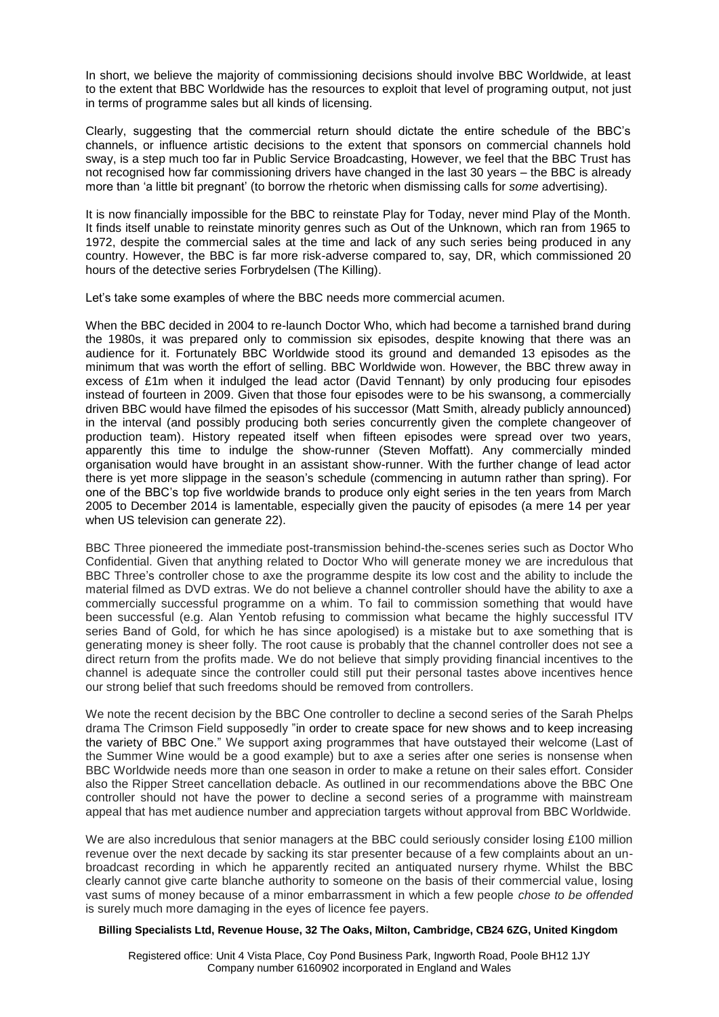In short, we believe the majority of commissioning decisions should involve BBC Worldwide, at least to the extent that BBC Worldwide has the resources to exploit that level of programing output, not just in terms of programme sales but all kinds of licensing.

Clearly, suggesting that the commercial return should dictate the entire schedule of the BBC's channels, or influence artistic decisions to the extent that sponsors on commercial channels hold sway, is a step much too far in Public Service Broadcasting, However, we feel that the BBC Trust has not recognised how far commissioning drivers have changed in the last 30 years – the BBC is already more than 'a little bit pregnant' (to borrow the rhetoric when dismissing calls for *some* advertising).

It is now financially impossible for the BBC to reinstate Play for Today, never mind Play of the Month. It finds itself unable to reinstate minority genres such as Out of the Unknown, which ran from 1965 to 1972, despite the commercial sales at the time and lack of any such series being produced in any country. However, the BBC is far more risk-adverse compared to, say, DR, which commissioned 20 hours of the detective series Forbrydelsen (The Killing).

Let's take some examples of where the BBC needs more commercial acumen.

When the BBC decided in 2004 to re-launch Doctor Who, which had become a tarnished brand during the 1980s, it was prepared only to commission six episodes, despite knowing that there was an audience for it. Fortunately BBC Worldwide stood its ground and demanded 13 episodes as the minimum that was worth the effort of selling. BBC Worldwide won. However, the BBC threw away in excess of £1m when it indulged the lead actor (David Tennant) by only producing four episodes instead of fourteen in 2009. Given that those four episodes were to be his swansong, a commercially driven BBC would have filmed the episodes of his successor (Matt Smith, already publicly announced) in the interval (and possibly producing both series concurrently given the complete changeover of production team). History repeated itself when fifteen episodes were spread over two years, apparently this time to indulge the show-runner (Steven Moffatt). Any commercially minded organisation would have brought in an assistant show-runner. With the further change of lead actor there is yet more slippage in the season's schedule (commencing in autumn rather than spring). For one of the BBC's top five worldwide brands to produce only eight series in the ten years from March 2005 to December 2014 is lamentable, especially given the paucity of episodes (a mere 14 per year when US television can generate 22).

BBC Three pioneered the immediate post-transmission behind-the-scenes series such as Doctor Who Confidential. Given that anything related to Doctor Who will generate money we are incredulous that BBC Three's controller chose to axe the programme despite its low cost and the ability to include the material filmed as DVD extras. We do not believe a channel controller should have the ability to axe a commercially successful programme on a whim. To fail to commission something that would have been successful (e.g. Alan Yentob refusing to commission what became the highly successful ITV series Band of Gold, for which he has since apologised) is a mistake but to axe something that is generating money is sheer folly. The root cause is probably that the channel controller does not see a direct return from the profits made. We do not believe that simply providing financial incentives to the channel is adequate since the controller could still put their personal tastes above incentives hence our strong belief that such freedoms should be removed from controllers.

We note the recent decision by the BBC One controller to decline a second series of the Sarah Phelps drama The Crimson Field supposedly "in order to create space for new shows and to keep increasing the variety of BBC One." We support axing programmes that have outstayed their welcome (Last of the Summer Wine would be a good example) but to axe a series after one series is nonsense when BBC Worldwide needs more than one season in order to make a retune on their sales effort. Consider also the Ripper Street cancellation debacle. As outlined in our recommendations above the BBC One controller should not have the power to decline a second series of a programme with mainstream appeal that has met audience number and appreciation targets without approval from BBC Worldwide.

We are also incredulous that senior managers at the BBC could seriously consider losing £100 million revenue over the next decade by sacking its star presenter because of a few complaints about an unbroadcast recording in which he apparently recited an antiquated nursery rhyme. Whilst the BBC clearly cannot give carte blanche authority to someone on the basis of their commercial value, losing vast sums of money because of a minor embarrassment in which a few people *chose to be offended* is surely much more damaging in the eyes of licence fee payers.

### **Billing Specialists Ltd, Revenue House, 32 The Oaks, Milton, Cambridge, CB24 6ZG, United Kingdom**

Registered office: Unit 4 Vista Place, Coy Pond Business Park, Ingworth Road, Poole BH12 1JY Company number 6160902 incorporated in England and Wales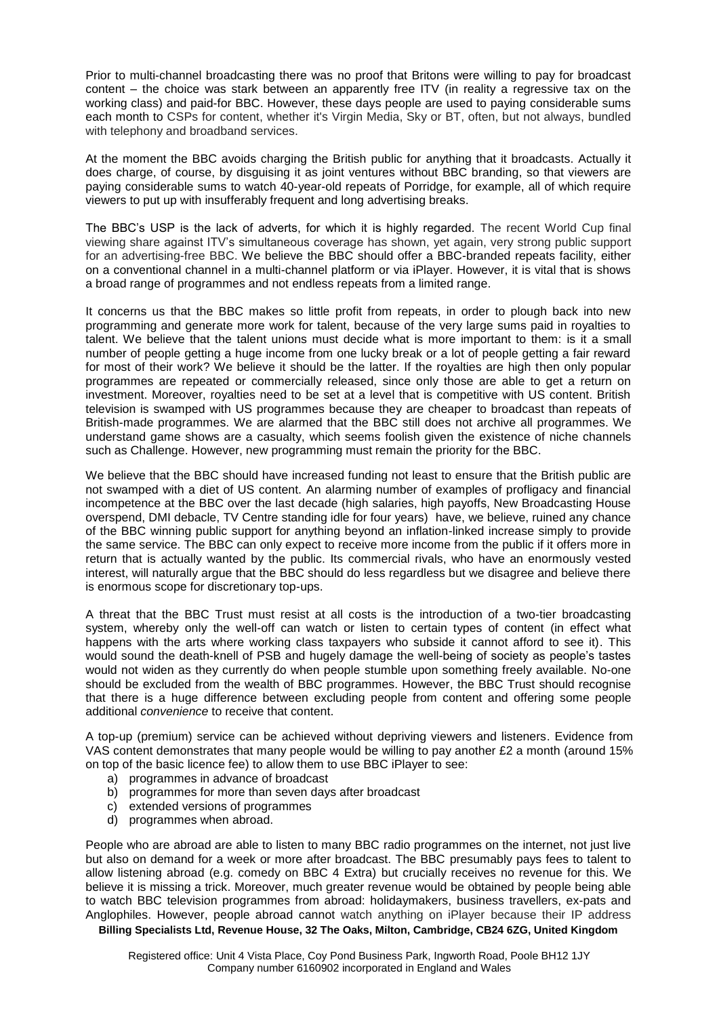Prior to multi-channel broadcasting there was no proof that Britons were willing to pay for broadcast content – the choice was stark between an apparently free ITV (in reality a regressive tax on the working class) and paid-for BBC. However, these days people are used to paying considerable sums each month to CSPs for content, whether it's Virgin Media, Sky or BT, often, but not always, bundled with telephony and broadband services.

At the moment the BBC avoids charging the British public for anything that it broadcasts. Actually it does charge, of course, by disguising it as joint ventures without BBC branding, so that viewers are paying considerable sums to watch 40-year-old repeats of Porridge, for example, all of which require viewers to put up with insufferably frequent and long advertising breaks.

The BBC's USP is the lack of adverts, for which it is highly regarded. The recent World Cup final viewing share against ITV's simultaneous coverage has shown, yet again, very strong public support for an advertising-free BBC. We believe the BBC should offer a BBC-branded repeats facility, either on a conventional channel in a multi-channel platform or via iPlayer. However, it is vital that is shows a broad range of programmes and not endless repeats from a limited range.

It concerns us that the BBC makes so little profit from repeats, in order to plough back into new programming and generate more work for talent, because of the very large sums paid in royalties to talent. We believe that the talent unions must decide what is more important to them: is it a small number of people getting a huge income from one lucky break or a lot of people getting a fair reward for most of their work? We believe it should be the latter. If the royalties are high then only popular programmes are repeated or commercially released, since only those are able to get a return on investment. Moreover, royalties need to be set at a level that is competitive with US content. British television is swamped with US programmes because they are cheaper to broadcast than repeats of British-made programmes. We are alarmed that the BBC still does not archive all programmes. We understand game shows are a casualty, which seems foolish given the existence of niche channels such as Challenge. However, new programming must remain the priority for the BBC.

We believe that the BBC should have increased funding not least to ensure that the British public are not swamped with a diet of US content. An alarming number of examples of profligacy and financial incompetence at the BBC over the last decade (high salaries, high payoffs, New Broadcasting House overspend, DMI debacle, TV Centre standing idle for four years) have, we believe, ruined any chance of the BBC winning public support for anything beyond an inflation-linked increase simply to provide the same service. The BBC can only expect to receive more income from the public if it offers more in return that is actually wanted by the public. Its commercial rivals, who have an enormously vested interest, will naturally argue that the BBC should do less regardless but we disagree and believe there is enormous scope for discretionary top-ups.

A threat that the BBC Trust must resist at all costs is the introduction of a two-tier broadcasting system, whereby only the well-off can watch or listen to certain types of content (in effect what happens with the arts where working class taxpayers who subside it cannot afford to see it). This would sound the death-knell of PSB and hugely damage the well-being of society as people's tastes would not widen as they currently do when people stumble upon something freely available. No-one should be excluded from the wealth of BBC programmes. However, the BBC Trust should recognise that there is a huge difference between excluding people from content and offering some people additional *convenience* to receive that content.

A top-up (premium) service can be achieved without depriving viewers and listeners. Evidence from VAS content demonstrates that many people would be willing to pay another £2 a month (around 15% on top of the basic licence fee) to allow them to use BBC iPlayer to see:

- a) programmes in advance of broadcast
- b) programmes for more than seven days after broadcast
- c) extended versions of programmes
- d) programmes when abroad.

People who are abroad are able to listen to many BBC radio programmes on the internet, not just live but also on demand for a week or more after broadcast. The BBC presumably pays fees to talent to allow listening abroad (e.g. comedy on BBC 4 Extra) but crucially receives no revenue for this. We believe it is missing a trick. Moreover, much greater revenue would be obtained by people being able to watch BBC television programmes from abroad: holidaymakers, business travellers, ex-pats and Anglophiles. However, people abroad cannot watch anything on iPlayer because their IP address